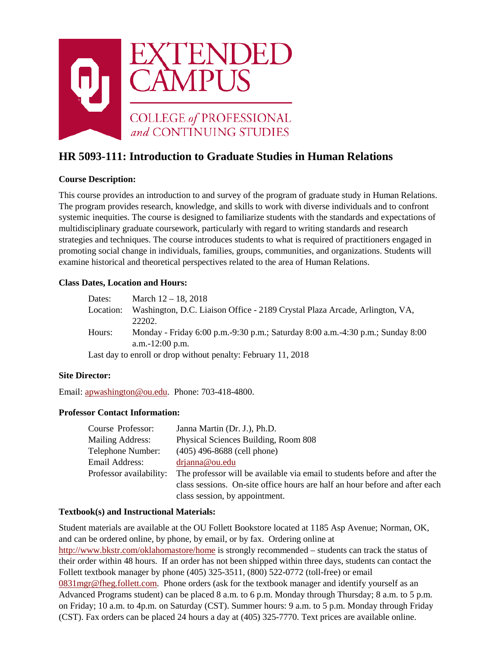

# **HR 5093-111: Introduction to Graduate Studies in Human Relations**

# **Course Description:**

This course provides an introduction to and survey of the program of graduate study in Human Relations. The program provides research, knowledge, and skills to work with diverse individuals and to confront systemic inequities. The course is designed to familiarize students with the standards and expectations of multidisciplinary graduate coursework, particularly with regard to writing standards and research strategies and techniques. The course introduces students to what is required of practitioners engaged in promoting social change in individuals, families, groups, communities, and organizations. Students will examine historical and theoretical perspectives related to the area of Human Relations.

# **Class Dates, Location and Hours:**

| Dates:    | March $12 - 18$ , 2018                                                         |
|-----------|--------------------------------------------------------------------------------|
| Location: | Washington, D.C. Liaison Office - 2189 Crystal Plaza Arcade, Arlington, VA,    |
|           | 22202.                                                                         |
| Hours:    | Monday - Friday 6:00 p.m.-9:30 p.m.; Saturday 8:00 a.m.-4:30 p.m.; Sunday 8:00 |
|           | a.m. $-12:00$ p.m.                                                             |
|           | Last day to enroll or drop without penalty: February 11, 2018                  |

### **Site Director:**

Email: [apwashington@ou.edu.](mailto:apwashington@ou.edu) Phone: 703-418-4800.

### **Professor Contact Information:**

| Course Professor:       | Janna Martin (Dr. J.), Ph.D.                                                |
|-------------------------|-----------------------------------------------------------------------------|
| <b>Mailing Address:</b> | Physical Sciences Building, Room 808                                        |
| Telephone Number:       | $(405)$ 496-8688 (cell phone)                                               |
| Email Address:          | drjanna@ou.edu                                                              |
| Professor availability: | The professor will be available via email to students before and after the  |
|                         | class sessions. On-site office hours are half an hour before and after each |
|                         | class session, by appointment.                                              |

### **Textbook(s) and Instructional Materials:**

Student materials are available at the OU Follett Bookstore located at 1185 Asp Avenue; Norman, OK, and can be ordered online, by phone, by email, or by fax. Ordering online at <http://www.bkstr.com/oklahomastore/home> is strongly recommended – students can track the status of their order within 48 hours. If an order has not been shipped within three days, students can contact the Follett textbook manager by phone (405) 325-3511, (800) 522-0772 (toll-free) or email [0831mgr@fheg.follett.com.](mailto:0831mgr@fheg.follett.com) Phone orders (ask for the textbook manager and identify yourself as an Advanced Programs student) can be placed 8 a.m. to 6 p.m. Monday through Thursday; 8 a.m. to 5 p.m. on Friday; 10 a.m. to 4p.m. on Saturday (CST). Summer hours: 9 a.m. to 5 p.m. Monday through Friday (CST). Fax orders can be placed 24 hours a day at (405) 325-7770. Text prices are available online.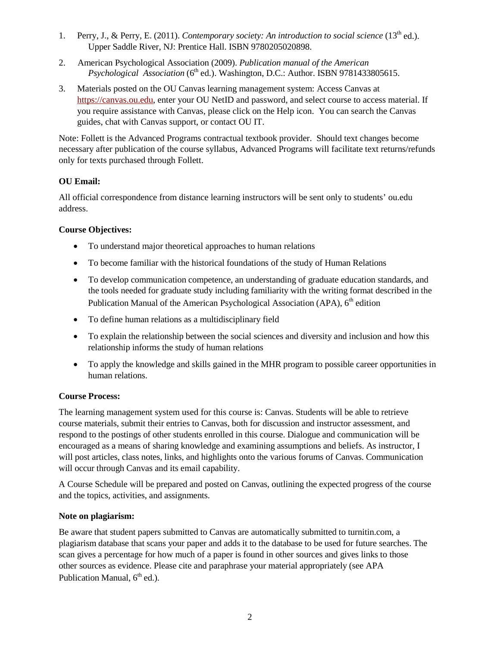- 1. Perry, J., & Perry, E. (2011). *Contemporary society: An introduction to social science* (13<sup>th</sup> ed.). Upper Saddle River, NJ: Prentice Hall. ISBN 9780205020898.
- 2. American Psychological Association (2009). *Publication manual of the American Psychological Association* (6<sup>th</sup> ed.). Washington, D.C.: Author. ISBN 9781433805615.
- 3. Materials posted on the OU Canvas learning management system: Access Canvas at [https://canvas.ou.edu,](https://canvas.ou.edu/) enter your OU NetID and password, and select course to access material. If you require assistance with Canvas, please click on the Help icon. You can search the Canvas guides, chat with Canvas support, or contact OU IT.

Note: Follett is the Advanced Programs contractual textbook provider. Should text changes become necessary after publication of the course syllabus, Advanced Programs will facilitate text returns/refunds only for texts purchased through Follett.

# **OU Email:**

All official correspondence from distance learning instructors will be sent only to students' ou.edu address.

# **Course Objectives:**

- To understand major theoretical approaches to human relations
- To become familiar with the historical foundations of the study of Human Relations
- To develop communication competence, an understanding of graduate education standards, and the tools needed for graduate study including familiarity with the writing format described in the Publication Manual of the American Psychological Association (APA), 6<sup>th</sup> edition
- To define human relations as a multidisciplinary field
- To explain the relationship between the social sciences and diversity and inclusion and how this relationship informs the study of human relations
- To apply the knowledge and skills gained in the MHR program to possible career opportunities in human relations.

# **Course Process:**

The learning management system used for this course is: Canvas. Students will be able to retrieve course materials, submit their entries to Canvas, both for discussion and instructor assessment, and respond to the postings of other students enrolled in this course. Dialogue and communication will be encouraged as a means of sharing knowledge and examining assumptions and beliefs. As instructor, I will post articles, class notes, links, and highlights onto the various forums of Canvas. Communication will occur through Canvas and its email capability.

A Course Schedule will be prepared and posted on Canvas, outlining the expected progress of the course and the topics, activities, and assignments.

# **Note on plagiarism:**

Be aware that student papers submitted to Canvas are automatically submitted to turnitin.com, a plagiarism database that scans your paper and adds it to the database to be used for future searches. The scan gives a percentage for how much of a paper is found in other sources and gives links to those other sources as evidence. Please cite and paraphrase your material appropriately (see APA Publication Manual,  $6<sup>th</sup>$  ed.).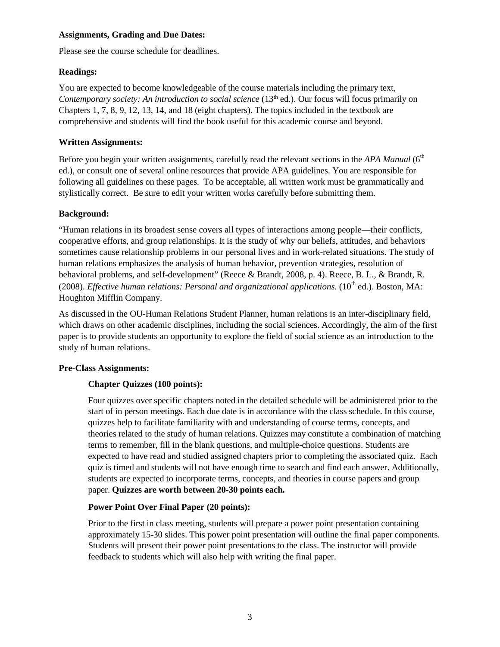### **Assignments, Grading and Due Dates:**

Please see the course schedule for deadlines.

# **Readings:**

You are expected to become knowledgeable of the course materials including the primary text, *Contemporary society: An introduction to social science* (13th ed.). Our focus will focus primarily on Chapters 1, 7, 8, 9, 12, 13, 14, and 18 (eight chapters). The topics included in the textbook are comprehensive and students will find the book useful for this academic course and beyond.

# **Written Assignments:**

Before you begin your written assignments, carefully read the relevant sections in the *APA Manual* (6<sup>th</sup>) ed.), or consult one of several online resources that provide APA guidelines. You are responsible for following all guidelines on these pages. To be acceptable, all written work must be grammatically and stylistically correct. Be sure to edit your written works carefully before submitting them.

# **Background:**

"Human relations in its broadest sense covers all types of interactions among people—their conflicts, cooperative efforts, and group relationships. It is the study of why our beliefs, attitudes, and behaviors sometimes cause relationship problems in our personal lives and in work-related situations. The study of human relations emphasizes the analysis of human behavior, prevention strategies, resolution of behavioral problems, and self-development" (Reece & Brandt, 2008, p. 4). Reece, B. L., & Brandt, R. (2008). *Effective human relations: Personal and organizational applications.* (10<sup>th</sup> ed.). Boston, MA: Houghton Mifflin Company.

As discussed in the OU-Human Relations Student Planner, human relations is an inter-disciplinary field, which draws on other academic disciplines, including the social sciences. Accordingly, the aim of the first paper is to provide students an opportunity to explore the field of social science as an introduction to the study of human relations.

### **Pre-Class Assignments:**

# **Chapter Quizzes (100 points):**

Four quizzes over specific chapters noted in the detailed schedule will be administered prior to the start of in person meetings. Each due date is in accordance with the class schedule. In this course, quizzes help to facilitate familiarity with and understanding of course terms, concepts, and theories related to the study of human relations. Quizzes may constitute a combination of matching terms to remember, fill in the blank questions, and multiple-choice questions. Students are expected to have read and studied assigned chapters prior to completing the associated quiz. Each quiz is timed and students will not have enough time to search and find each answer. Additionally, students are expected to incorporate terms, concepts, and theories in course papers and group paper. **Quizzes are worth between 20-30 points each.**

### **Power Point Over Final Paper (20 points):**

Prior to the first in class meeting, students will prepare a power point presentation containing approximately 15-30 slides. This power point presentation will outline the final paper components. Students will present their power point presentations to the class. The instructor will provide feedback to students which will also help with writing the final paper.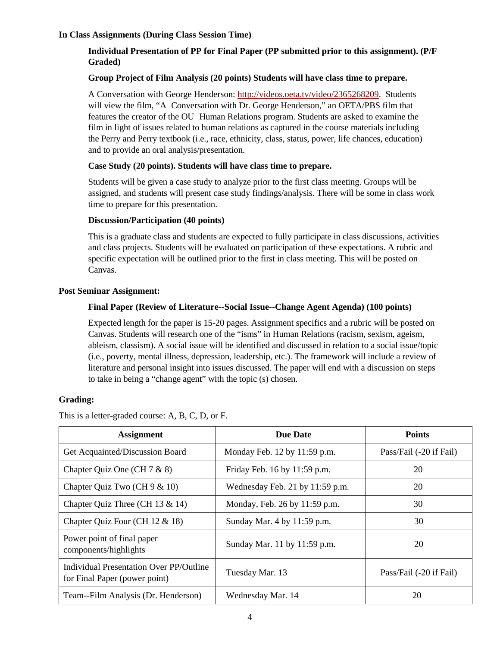### **In Class Assignments (During Class Session Time)**

# **Individual Presentation of PP for Final Paper (PP submitted prior to this assignment). (P/F Graded)**

### **Group Project of Film Analysis (20 points) Students will have class time to prepare.**

A Conversation with George Henderson: [http://videos.oeta.tv/video/2365268209.](http://videos.oeta.tv/video/2365268209) Students will view the film, "A Conversation with Dr. George Henderson," an OETA/PBS film that features the creator of the OU Human Relations program. Students are asked to examine the film in light of issues related to human relations as captured in the course materials including the Perry and Perry textbook (i.e., race, ethnicity, class, status, power, life chances, education) and to provide an oral analysis/presentation.

### **Case Study (20 points). Students will have class time to prepare.**

Students will be given a case study to analyze prior to the first class meeting. Groups will be assigned, and students will present case study findings/analysis. There will be some in class work time to prepare for this presentation.

#### **Discussion/Participation (40 points)**

This is a graduate class and students are expected to fully participate in class discussions, activities and class projects. Students will be evaluated on participation of these expectations. A rubric and specific expectation will be outlined prior to the first in class meeting. This will be posted on Canvas.

#### **Post Seminar Assignment:**

#### **Final Paper (Review of Literature--Social Issue--Change Agent Agenda) (100 points)**

Expected length for the paper is 15-20 pages. Assignment specifics and a rubric will be posted on Canvas. Students will research one of the "isms" in Human Relations (racism, sexism, ageism, ableism, classism). A social issue will be identified and discussed in relation to a social issue/topic (i.e., poverty, mental illness, depression, leadership, etc.). The framework will include a review of literature and personal insight into issues discussed. The paper will end with a discussion on steps to take in being a "change agent" with the topic (s) chosen.

### **Grading:**

This is a letter-graded course: A, B, C, D, or F.

| <b>Assignment</b>                                                        | <b>Due Date</b>                 | <b>Points</b>           |
|--------------------------------------------------------------------------|---------------------------------|-------------------------|
| Get Acquainted/Discussion Board                                          | Monday Feb. 12 by 11:59 p.m.    | Pass/Fail (-20 if Fail) |
| Chapter Quiz One (CH $7 & 8$ )                                           | Friday Feb. 16 by 11:59 p.m.    | 20                      |
| Chapter Quiz Two (CH $9 & 10$ )                                          | Wednesday Feb. 21 by 11:59 p.m. | 20                      |
| Chapter Quiz Three (CH 13 $&$ 14)                                        | Monday, Feb. 26 by 11:59 p.m.   | 30                      |
| Chapter Quiz Four (CH $12 \& 18$ )                                       | Sunday Mar. 4 by 11:59 p.m.     | 30                      |
| Power point of final paper<br>components/highlights                      | Sunday Mar. 11 by 11:59 p.m.    | 20                      |
| Individual Presentation Over PP/Outline<br>for Final Paper (power point) | Tuesday Mar. 13                 | Pass/Fail (-20 if Fail) |
| Team--Film Analysis (Dr. Henderson)                                      | Wednesday Mar. 14               | 20                      |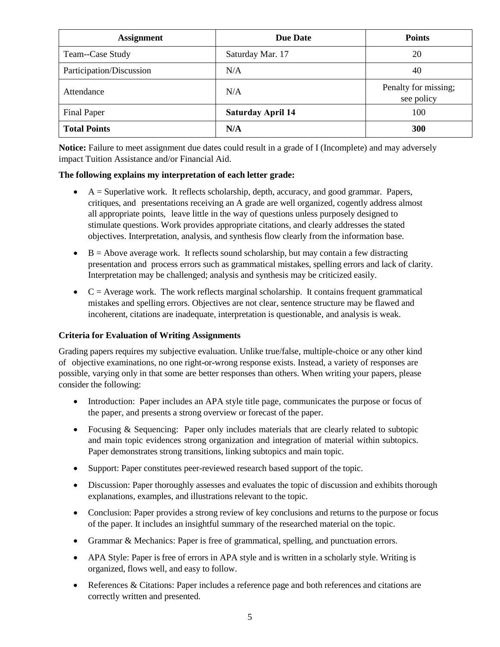| <b>Assignment</b>        | <b>Due Date</b>          | <b>Points</b>                      |
|--------------------------|--------------------------|------------------------------------|
| Team--Case Study         | Saturday Mar. 17         | 20                                 |
| Participation/Discussion | N/A                      | 40                                 |
| Attendance               | N/A                      | Penalty for missing;<br>see policy |
| <b>Final Paper</b>       | <b>Saturday April 14</b> | 100                                |
| <b>Total Points</b>      | N/A                      | <b>300</b>                         |

**Notice:** Failure to meet assignment due dates could result in a grade of I (Incomplete) and may adversely impact Tuition Assistance and/or Financial Aid.

# **The following explains my interpretation of each letter grade:**

- $\bullet$  A = Superlative work. It reflects scholarship, depth, accuracy, and good grammar. Papers, critiques, and presentations receiving an A grade are well organized, cogently address almost all appropriate points, leave little in the way of questions unless purposely designed to stimulate questions. Work provides appropriate citations, and clearly addresses the stated objectives. Interpretation, analysis, and synthesis flow clearly from the information base.
- $\bullet$  B = Above average work. It reflects sound scholarship, but may contain a few distracting presentation and process errors such as grammatical mistakes, spelling errors and lack of clarity. Interpretation may be challenged; analysis and synthesis may be criticized easily.
- $\bullet$   $C =$  Average work. The work reflects marginal scholarship. It contains frequent grammatical mistakes and spelling errors. Objectives are not clear, sentence structure may be flawed and incoherent, citations are inadequate, interpretation is questionable, and analysis is weak.

# **Criteria for Evaluation of Writing Assignments**

Grading papers requires my subjective evaluation. Unlike true/false, multiple-choice or any other kind of objective examinations, no one right-or-wrong response exists. Instead, a variety of responses are possible, varying only in that some are better responses than others. When writing your papers, please consider the following:

- Introduction: Paper includes an APA style title page, communicates the purpose or focus of the paper, and presents a strong overview or forecast of the paper.
- Focusing & Sequencing: Paper only includes materials that are clearly related to subtopic and main topic evidences strong organization and integration of material within subtopics. Paper demonstrates strong transitions, linking subtopics and main topic.
- Support: Paper constitutes peer-reviewed research based support of the topic.
- Discussion: Paper thoroughly assesses and evaluates the topic of discussion and exhibits thorough explanations, examples, and illustrations relevant to the topic.
- Conclusion: Paper provides a strong review of key conclusions and returns to the purpose or focus of the paper. It includes an insightful summary of the researched material on the topic.
- Grammar & Mechanics: Paper is free of grammatical, spelling, and punctuation errors.
- APA Style: Paper is free of errors in APA style and is written in a scholarly style. Writing is organized, flows well, and easy to follow.
- References & Citations: Paper includes a reference page and both references and citations are correctly written and presented.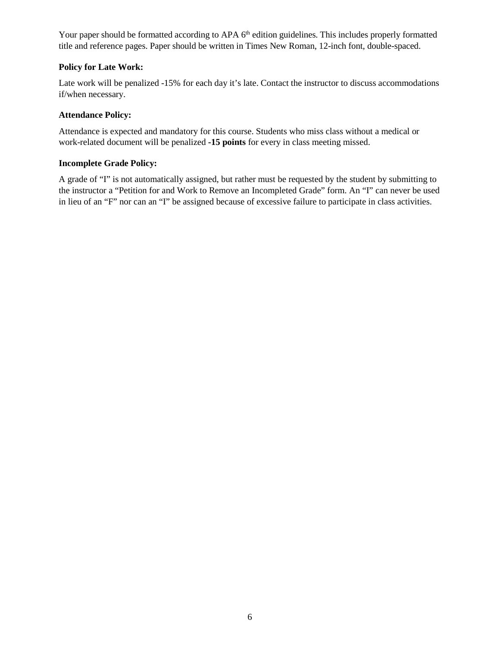Your paper should be formatted according to APA 6<sup>th</sup> edition guidelines. This includes properly formatted title and reference pages. Paper should be written in Times New Roman, 12-inch font, double-spaced.

# **Policy for Late Work:**

Late work will be penalized -15% for each day it's late. Contact the instructor to discuss accommodations if/when necessary.

### **Attendance Policy:**

Attendance is expected and mandatory for this course. Students who miss class without a medical or work-related document will be penalized **-15 points** for every in class meeting missed.

# **Incomplete Grade Policy:**

A grade of "I" is not automatically assigned, but rather must be requested by the student by submitting to the instructor a "Petition for and Work to Remove an Incompleted Grade" form. An "I" can never be used in lieu of an "F" nor can an "I" be assigned because of excessive failure to participate in class activities.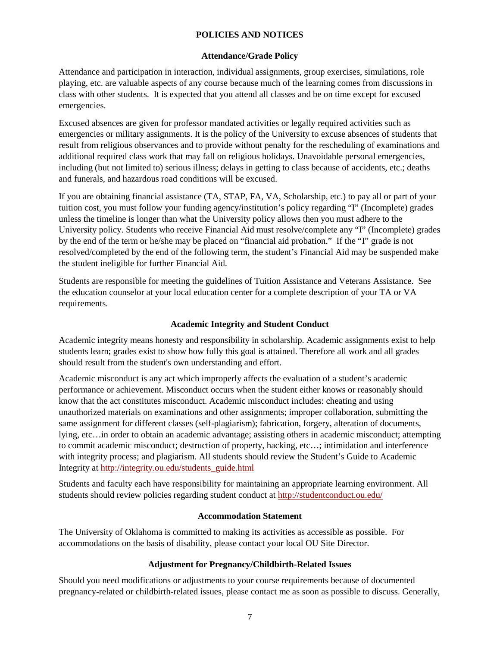# **POLICIES AND NOTICES**

### **Attendance/Grade Policy**

Attendance and participation in interaction, individual assignments, group exercises, simulations, role playing, etc. are valuable aspects of any course because much of the learning comes from discussions in class with other students. It is expected that you attend all classes and be on time except for excused emergencies.

Excused absences are given for professor mandated activities or legally required activities such as emergencies or military assignments. It is the policy of the University to excuse absences of students that result from religious observances and to provide without penalty for the rescheduling of examinations and additional required class work that may fall on religious holidays. Unavoidable personal emergencies, including (but not limited to) serious illness; delays in getting to class because of accidents, etc.; deaths and funerals, and hazardous road conditions will be excused.

If you are obtaining financial assistance (TA, STAP, FA, VA, Scholarship, etc.) to pay all or part of your tuition cost, you must follow your funding agency/institution's policy regarding "I" (Incomplete) grades unless the timeline is longer than what the University policy allows then you must adhere to the University policy. Students who receive Financial Aid must resolve/complete any "I" (Incomplete) grades by the end of the term or he/she may be placed on "financial aid probation." If the "I" grade is not resolved/completed by the end of the following term, the student's Financial Aid may be suspended make the student ineligible for further Financial Aid.

Students are responsible for meeting the guidelines of Tuition Assistance and Veterans Assistance. See the education counselor at your local education center for a complete description of your TA or VA requirements.

### **Academic Integrity and Student Conduct**

Academic integrity means honesty and responsibility in scholarship. Academic assignments exist to help students learn; grades exist to show how fully this goal is attained. Therefore all work and all grades should result from the student's own understanding and effort.

Academic misconduct is any act which improperly affects the evaluation of a student's academic performance or achievement. Misconduct occurs when the student either knows or reasonably should know that the act constitutes misconduct. Academic misconduct includes: cheating and using unauthorized materials on examinations and other assignments; improper collaboration, submitting the same assignment for different classes (self-plagiarism); fabrication, forgery, alteration of documents, lying, etc…in order to obtain an academic advantage; assisting others in academic misconduct; attempting to commit academic misconduct; destruction of property, hacking, etc…; intimidation and interference with integrity process; and plagiarism. All students should review the Student's Guide to Academic Integrity at [http://integrity.ou.edu/students\\_guide.html](http://integrity.ou.edu/students_guide.html)

Students and faculty each have responsibility for maintaining an appropriate learning environment. All students should review policies regarding student conduct at<http://studentconduct.ou.edu/>

### **Accommodation Statement**

The University of Oklahoma is committed to making its activities as accessible as possible. For accommodations on the basis of disability, please contact your local OU Site Director.

# **Adjustment for Pregnancy/Childbirth-Related Issues**

Should you need modifications or adjustments to your course requirements because of documented pregnancy-related or childbirth-related issues, please contact me as soon as possible to discuss. Generally,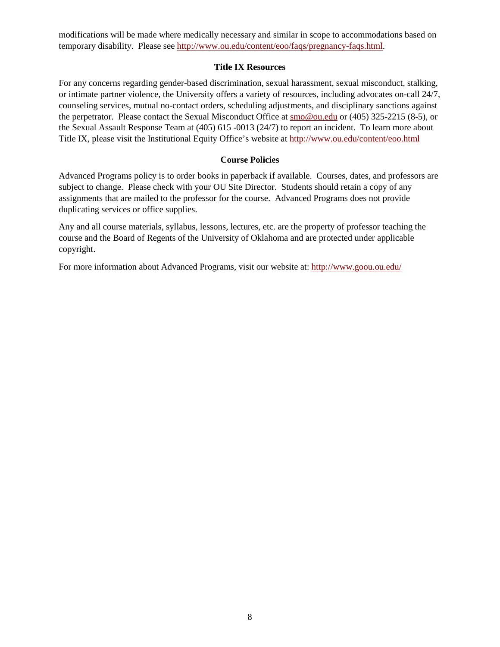modifications will be made where medically necessary and similar in scope to accommodations based on temporary disability. Please see [http://www.ou.edu/content/eoo/faqs/pregnancy-faqs.html.](http://www.ou.edu/content/eoo/faqs/pregnancy-faqs.html)

### **Title IX Resources**

For any concerns regarding gender-based discrimination, sexual harassment, sexual misconduct, stalking, or intimate partner violence, the University offers a variety of resources, including advocates on-call 24/7, counseling services, mutual no-contact orders, scheduling adjustments, and disciplinary sanctions against the perpetrator. Please contact the Sexual Misconduct Office at [smo@ou.edu](mailto:smo@ou.edu) or (405) 325-2215 (8-5), or the Sexual Assault Response Team at (405) 615 -0013 (24/7) to report an incident. To learn more about Title IX, please visit the Institutional Equity Office's website at<http://www.ou.edu/content/eoo.html>

### **Course Policies**

Advanced Programs policy is to order books in paperback if available. Courses, dates, and professors are subject to change. Please check with your OU Site Director. Students should retain a copy of any assignments that are mailed to the professor for the course. Advanced Programs does not provide duplicating services or office supplies.

Any and all course materials, syllabus, lessons, lectures, etc. are the property of professor teaching the course and the Board of Regents of the University of Oklahoma and are protected under applicable copyright.

For more information about Advanced Programs, visit our website at:<http://www.goou.ou.edu/>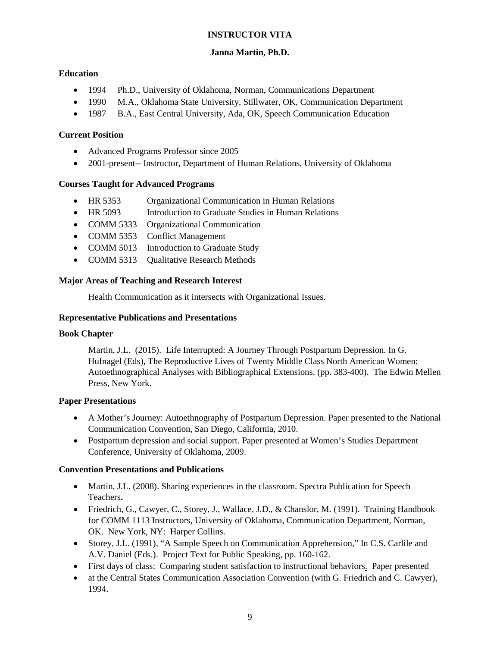# **INSTRUCTOR VITA**

# **Janna Martin, Ph.D.**

# **Education**

- 1994 Ph.D., University of Oklahoma, Norman, Communications Department
- 1990 M.A., Oklahoma State University, Stillwater, OK, Communication Department
- 1987 B.A., East Central University, Ada, OK, Speech Communication Education

### **Current Position**

- Advanced Programs Professor since 2005
- 2001-present-- Instructor, Department of Human Relations, University of Oklahoma

# **Courses Taught for Advanced Programs**

- HR 5353 Organizational Communication in Human Relations
- HR 5093 Introduction to Graduate Studies in Human Relations
- COMM 5333 Organizational Communication
- COMM 5353 Conflict Management
- COMM 5013 Introduction to Graduate Study
- COMM 5313 Qualitative Research Methods

# **Major Areas of Teaching and Research Interest**

Health Communication as it intersects with Organizational Issues.

### **Representative Publications and Presentations**

### **Book Chapter**

Martin, J.L. (2015). Life Interrupted: A Journey Through Postpartum Depression. In G. Hufnagel (Eds), The Reproductive Lives of Twenty Middle Class North American Women: Autoethnographical Analyses with Bibliographical Extensions. (pp. 383-400). The Edwin Mellen Press, New York.

### **Paper Presentations**

- A Mother's Journey: Autoethnography of Postpartum Depression. Paper presented to the National Communication Convention, San Diego, California, 2010.
- Postpartum depression and social support. Paper presented at Women's Studies Department Conference, University of Oklahoma, 2009.

# **Convention Presentations and Publications**

- Martin, J.L. (2008). Sharing experiences in the classroom. Spectra Publication for Speech Teachers**.**
- Friedrich, G., Cawyer, C., Storey, J., Wallace, J.D., & Chanslor, M. (1991). Training Handbook for COMM 1113 Instructors, University of Oklahoma, Communication Department, Norman, OK. New York, NY: Harper Collins.
- Storey, J.L. (1991), "A Sample Speech on Communication Apprehension," In C.S. Carlile and A.V. Daniel (Eds.). Project Text for Public Speaking, pp. 160-162.
- First days of class: Comparing student satisfaction to instructional behaviors. Paper presented
- at the Central States Communication Association Convention (with G. Friedrich and C. Cawyer), 1994.